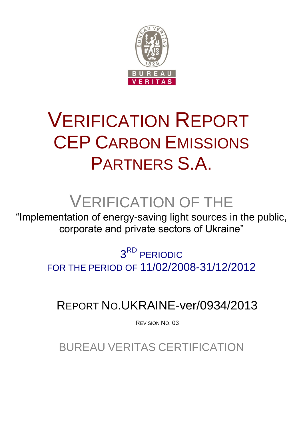

# VERIFICATION REPORT CEP CARBON EMISSIONS PARTNERS S.A.

# VERIFICATION OF THE

"Implementation of energy-saving light sources in the public, corporate and private sectors of Ukraine"

> 3<sup>RD</sup> PERIODIC FOR THE PERIOD OF 11/02/2008-31/12/2012

REPORT NO.UKRAINE-ver/0934/2013

REVISION NO. 03

BUREAU VERITAS CERTIFICATION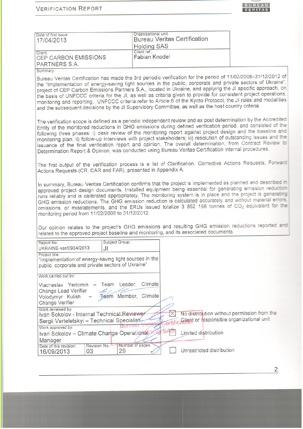| <b>VERIFICATION REPORT</b> |  |
|----------------------------|--|
|----------------------------|--|



| Date of first issue:                                                                                                            | Organizational unit:<br><b>Bureau Veritas Certification</b>                                                                                                                                                                                                                                                                                                                                                                                                                                                                                                                                                                                                                               |
|---------------------------------------------------------------------------------------------------------------------------------|-------------------------------------------------------------------------------------------------------------------------------------------------------------------------------------------------------------------------------------------------------------------------------------------------------------------------------------------------------------------------------------------------------------------------------------------------------------------------------------------------------------------------------------------------------------------------------------------------------------------------------------------------------------------------------------------|
| 17/04/2013                                                                                                                      |                                                                                                                                                                                                                                                                                                                                                                                                                                                                                                                                                                                                                                                                                           |
|                                                                                                                                 | <b>Holding SAS</b><br>Client ref.:                                                                                                                                                                                                                                                                                                                                                                                                                                                                                                                                                                                                                                                        |
| Client:<br>CEP CARBON EMISSIONS                                                                                                 | Fabian Knodel                                                                                                                                                                                                                                                                                                                                                                                                                                                                                                                                                                                                                                                                             |
| PARTNERS S.A.                                                                                                                   |                                                                                                                                                                                                                                                                                                                                                                                                                                                                                                                                                                                                                                                                                           |
| Summary:                                                                                                                        |                                                                                                                                                                                                                                                                                                                                                                                                                                                                                                                                                                                                                                                                                           |
|                                                                                                                                 | Bureau Veritas Certification has made the 3rd periodic verification for the period of 11/02/2008-31/12/2012 of                                                                                                                                                                                                                                                                                                                                                                                                                                                                                                                                                                            |
|                                                                                                                                 | the "Implementation of energy-saving light sources in the public, corporate and private sectors of Ukraine",<br>project of CEP Carbon Emissions Partners S.A., located in Ukraine, and applying the JI specific approach, on<br>the basis of UNFCCC criteria for the JI, as well as criteria given to provide for consistent project operations,<br>monitoring and reporting. UNFCCC criteria refer to Article 6 of the Kyoto Protocol, the JI rules and modalities<br>and the subsequent decisions by the JI Supervisory Committee, as well as the host country criteria.                                                                                                                |
|                                                                                                                                 | The verification scope is defined as a periodic independent review and ex post determination by the Accredited<br>Entity of the monitored reductions in GHG emissions during defined verification period, and consisted of the<br>following three phases: i) desk review of the monitoring report against project design and the baseline and<br>monitoring plan; ii) follow-up interviews with project stakeholders; iii) resolution of outstanding issues and the<br>issuance of the final verification report and opinion. The overall determination, from Contract Review to<br>Determination Report & Opinion, was conducted using Bureau Veritas Certification internal procedures. |
| Actions Requests (CR, CAR and FAR), presented in Appendix A.                                                                    | The first output of the verification process is a list of Clarification, Corrective Actions Requests, Forward                                                                                                                                                                                                                                                                                                                                                                                                                                                                                                                                                                             |
| monitoring period from 11/02/2008 to 31/12/2012.                                                                                | In summary, Bureau Veritas Certification confirms that the project is implemented as planned and described in<br>approved project design documents. Installed equipment being essential for generating emission reduction<br>runs reliably and is calibrated appropriately. The monitoring system is in place and the project is generating<br>GHG emission reductions. The GHG emission reduction is calculated accurately and without material errors.<br>omissions, or misstatements, and the ERUs issued totalize 3 852 198 tonnes of CO <sub>2</sub> equivalent for the<br>Our opinion relates to the project's GHG emissions and resulting GHG emission reductions reported and     |
|                                                                                                                                 | related to the approved project baseline and monitoring, and its associated documents.                                                                                                                                                                                                                                                                                                                                                                                                                                                                                                                                                                                                    |
| Subject Group:<br>Report No:                                                                                                    |                                                                                                                                                                                                                                                                                                                                                                                                                                                                                                                                                                                                                                                                                           |
| UKRAINE-ver/0934/2013<br>JI                                                                                                     |                                                                                                                                                                                                                                                                                                                                                                                                                                                                                                                                                                                                                                                                                           |
| Project title:<br>"Implementation of energy-saving light sources in the<br>public, corporate and private sectors of Ukraine"    |                                                                                                                                                                                                                                                                                                                                                                                                                                                                                                                                                                                                                                                                                           |
| Work carried out by:                                                                                                            |                                                                                                                                                                                                                                                                                                                                                                                                                                                                                                                                                                                                                                                                                           |
| Leader,<br>Team<br>Viacheslav Yeriomin -<br>Change Lead Verifier<br>Team Member, Climate<br>Volodymyr Kulish<br>Change Verifier | Climate                                                                                                                                                                                                                                                                                                                                                                                                                                                                                                                                                                                                                                                                                   |
| Work reviewed by:<br>Ivan Sokolov - Internal Technical Reviewer                                                                 | No distribution without permission from the<br>Client or responsible organizational unit                                                                                                                                                                                                                                                                                                                                                                                                                                                                                                                                                                                                  |
| Sergii Verteletskyi - Technical Specialist<br>Work approved by:                                                                 |                                                                                                                                                                                                                                                                                                                                                                                                                                                                                                                                                                                                                                                                                           |
| Ivan Sokolov - Climate Change Operational                                                                                       | Limited distribution                                                                                                                                                                                                                                                                                                                                                                                                                                                                                                                                                                                                                                                                      |
|                                                                                                                                 |                                                                                                                                                                                                                                                                                                                                                                                                                                                                                                                                                                                                                                                                                           |
| Manager<br>Revision No.:<br>Date of this revision:                                                                              | Number of pages:                                                                                                                                                                                                                                                                                                                                                                                                                                                                                                                                                                                                                                                                          |
| 29<br>03<br>16/09/2013                                                                                                          | Unrestricted distribution                                                                                                                                                                                                                                                                                                                                                                                                                                                                                                                                                                                                                                                                 |

 $\overline{2}$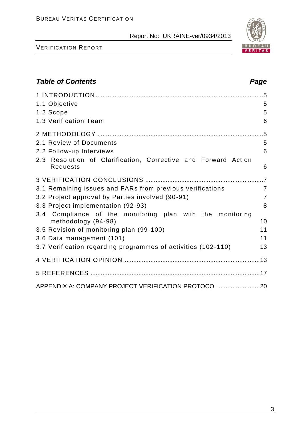VERIFICATION REPORT

| <b>Table of Contents</b>                                                          | Page           |
|-----------------------------------------------------------------------------------|----------------|
|                                                                                   |                |
| 1.1 Objective                                                                     | 5              |
| 1.2 Scope                                                                         | 5              |
| 1.3 Verification Team                                                             | 6              |
|                                                                                   |                |
| 2.1 Review of Documents                                                           | 5              |
| 2.2 Follow-up Interviews                                                          | 6              |
| 2.3 Resolution of Clarification, Corrective and Forward Action<br><b>Requests</b> | 6              |
|                                                                                   |                |
| 3.1 Remaining issues and FARs from previous verifications                         | $\overline{7}$ |
| 3.2 Project approval by Parties involved (90-91)                                  | $\overline{7}$ |
| 3.3 Project implementation (92-93)                                                | 8              |
| 3.4 Compliance of the monitoring plan with the monitoring<br>methodology (94-98)  | 10             |
| 3.5 Revision of monitoring plan (99-100)                                          | 11             |
| 3.6 Data management (101)                                                         | 11             |
| 3.7 Verification regarding programmes of activities (102-110)                     | 13             |
|                                                                                   |                |
| 5 REFERENCES …………………………………………………………………………………………17                                 |                |
| APPENDIX A: COMPANY PROJECT VERIFICATION PROTOCOL                                 |                |

3

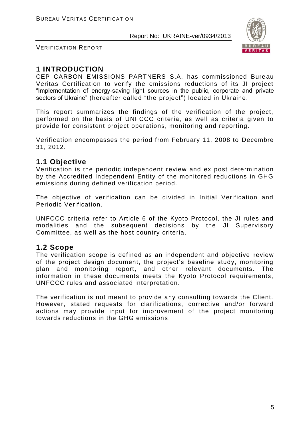

VERIFICATION REPORT

# **1 INTRODUCTION**

CEP CARBON EMISSIONS PARTNERS S.A. has commissioned Bure au Veritas Certification to verify the emissions reductions of its JI project "Implementation of energy-saving light sources in the public, corporate аnd private sectors of Ukraine" (hereafter called "the project") located in Ukraine.

This report summarizes the findings of the verification of the project, performed on the basis of UNFCCC criteria, as well as criteria given to provide for consistent project operations, monitoring and reporting.

Verification encompasses the period from February 11, 2008 to Decembre 31, 2012.

### **1.1 Objective**

Verification is the periodic independent review and ex post determination by the Accredited Independent Entity of the monitored reductions in GHG emissions during defined verification period.

The objective of verification can be divided in Initial Verification and Periodic Verification.

UNFCCC criteria refer to Article 6 of the Kyoto Protocol, the JI rules and modalities and the subsequent decisions by the JI Supervisory Committee, as well as the host country criteria.

# **1.2 Scope**

The verification scope is defined as an independent and objective review of the project design document, the project's baseline study, monitoring plan and monitoring report, and other relevant documents. The information in these documents meets the Kyoto Protocol requirements, UNFCCC rules and associated interpretation.

The verification is not meant to provide any consulting towards the Client. However, stated requests for clarifications, corrective and/or forward actions may provide input for improvement of the project monitoring towards reductions in the GHG emissions.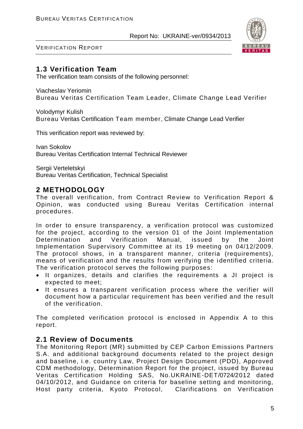

VERIFICATION REPORT

# **1.3 Verification Team**

The verification team consists of the following personnel:

Viacheslav Yeriomin Bureau Veritas Certification Team Leader, Climate Change Lead Verifier

Volodymyr Kulish Bureau Veritas Certification Team member, Climate Change Lead Verifier

This verification report was reviewed by:

Ivan Sokolov Bureau Veritas Certification Internal Technical Reviewer

Sergii Verteletskyi Bureau Veritas Certification, Technical Specialist

# **2 METHODOLOGY**

The overall verification, from Contract Review to Verification Report & Opinion, was conducted using Bureau Veritas Certification internal procedures.

In order to ensure transparency, a verification protocol was customized for the project, according to the version 01 of the Joint Implementation Determination and Verification Manual, issued by the Joint Implementation Supervisory Committee at its 19 meeting on 04/12/2009. The protocol shows, in a transparent manner, criteria (requirements), means of verification and the results from verifying the i dentified criteria. The verification protocol serves the following purposes:

- It organizes, details and clarifies the requirements a JI project is expected to meet;
- It ensures a transparent verification process where the verifier will document how a particular requirement has been verified and the result of the verification.

The completed verification protocol is enclosed in Appendix A to this report.

# **2.1 Review of Documents**

The Monitoring Report (MR) submitted by CEP Carbon Emissions Partners S.A. and additional background documents related to the project design and baseline, i.e. country Law, Project Design Document (PDD), Approved CDM methodology, Determination Report for the project, issued by Bureau Veritas Certification Holding SAS, No.UKRAINE-DET/0724/2012 dated 04/10/2012, and Guidance on criteria for baseline setting and monitoring, Host party criteria, Kyoto Protocol, Clarifications on Verification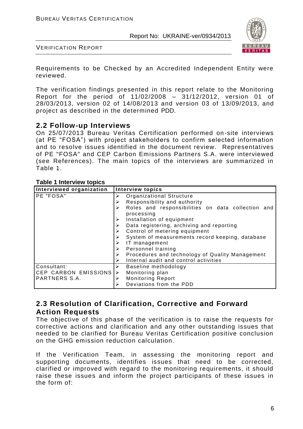

VERIFICATION REPORT

Requirements to be Checked by an Accredited Independent Entity were reviewed.

The verification findings presented in this report relate to the Monitoring Report for the period of 11/02/2008 – 31/12/2012, version 01 of 28/03/2013, version 02 of 14/08/2013 and version 03 of 13/09/2013, and project as described in the determined PDD.

#### **2.2 Follow-up Interviews**

On 25/07/2013 Bureau Veritas Certification performed on-site interviews (at PE "FOSA") with project stakeholders to confirm selected information and to resolve issues identified in the document review. Representatives of PE "FOSA" and CEP Carbon Emissions Partners S.A. were interviewed (see References). The main topics of the interviews are summarized in Table 1.

#### **Table 1 Interview topics**

| Interviewed organization                             | <b>Interview topics</b>                                                                                                                                                                                                                                                                                                                                                                                                               |
|------------------------------------------------------|---------------------------------------------------------------------------------------------------------------------------------------------------------------------------------------------------------------------------------------------------------------------------------------------------------------------------------------------------------------------------------------------------------------------------------------|
| PE "FOSA"                                            | Organizational Structure<br>➤<br>Responsibility and authority<br>➤<br>Roles and responsibilities on data collection and<br>➤<br>processing<br>Installation of equipment<br>Data registering, archiving and reporting<br>Control of metering equipment<br>System of measurements record keeping, database<br>IT management<br>➤<br>Personnel training<br>➤<br>Procedures and technology of Quality Management<br>$\blacktriangleright$ |
|                                                      | Internal audit and control activities                                                                                                                                                                                                                                                                                                                                                                                                 |
| Consultant:<br>CEP CARBON EMISSIONS<br>PARTNERS S.A. | Baseline methodology<br>➤<br>Monitoring plan<br>➤<br><b>Monitoring Report</b><br>➤<br>Deviations from the PDD<br>⋗                                                                                                                                                                                                                                                                                                                    |

# **2.3 Resolution of Clarification, Corrective and Forward Action Requests**

The objective of this phase of the verification is to raise the requests for corrective actions and clarification and any other outstanding issues that needed to be clarified for Bureau Veritas Certification positive conclusion on the GHG emission reduction calculation.

If the Verification Team, in assessing the monitoring report and supporting documents, identifies issues that need to be corrected, clarified or improved with regard to the monitoring requirements, it should raise these issues and inform the project participants of these issues in the form of: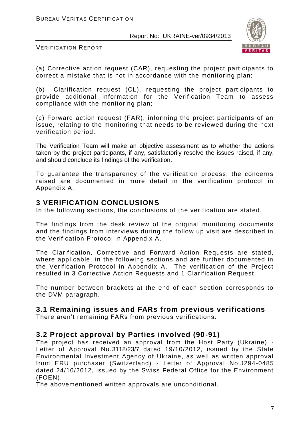

VERIFICATION REPORT

(a) Corrective action request (CAR), requesting the project participants to correct a mistake that is not in accordance with the monitoring plan;

(b) Clarification request (CL), requesting the project participants to provide additional information for the Verification Team to assess compliance with the monitoring plan;

(c) Forward action request (FAR), informing the project participants of an issue, relating to the monitoring that needs to be reviewed during the next verification period.

The Verification Team will make an objective assessment as to whether the actions taken by the project participants, if any, satisfactorily resolve the issues raised, if any, and should conclude its findings of the verification.

To guarantee the transparency of the verification process, the concerns raised are documented in more detail in the verification protocol in Appendix A.

### **3 VERIFICATION CONCLUSIONS**

In the following sections, the conclusions of the verification are stated.

The findings from the desk review of the original monitoring documents and the findings from interviews during the follow up visit are described in the Verification Protocol in Appendix A.

The Clarification, Corrective and Forward Action Requests are stated, where applicable, in the following sections and are further documented in the Verification Protocol in Appendix A. The verification of the Project resulted in 3 Corrective Action Requests and 1 Clarification Request.

The number between brackets at the end of each section corresponds to the DVM paragraph.

# **3.1 Remaining issues and FARs from previous verifications**

There aren't remaining FARs from previous verifications.

# **3.2 Project approval by Parties involved (90-91)**

The project has received an approval from the Host Party (Ukraine) - Letter of Approval No.3118/23/7 dated 19/10/2012, issued by the State Environmental Investment Agency of Ukraine, as well as written approval from ERU purchaser (Switzerland) - Letter of Approval No.J294-0485 dated 24/10/2012, issued by the Swiss Federal Office for the Environment (FOEN).

The abovementioned written approvals are unconditional.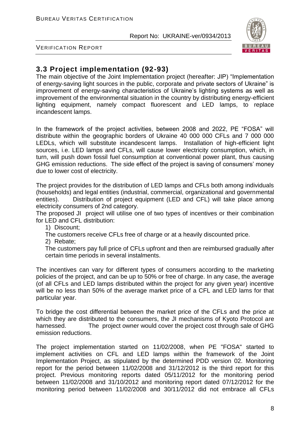

VERIFICATION REPORT

# **3.3 Project implementation (92-93)**

The main objective of the Joint Implementation project (hereafter: JIP) "Implementation of energy-saving light sources in the public, corporate аnd private sectors of Ukraine" is improvement of energy-saving characteristics of Ukraine's lighting systems as well as improvement of the environmental situation in the country by distributing energy-efficient lighting equipment, namely compact fluorescent and LED lamps, to replace incandescent lamps.

In the framework of the project activities, between 2008 and 2022, PE "FOSA" will distribute within the geographic borders of Ukraine 40 000 000 CFLs and 7 000 000 LEDLs, which will substitute incandescent lamps. Installation of high-efficient light sources, i.e. LED lamps and CFLs, will cause lower electricity consumption, which, in turn, will push down fossil fuel consumption at conventional power plant, thus causing GHG emission reductions. The side effect of the project is saving of consumers' money due to lower cost of electricity.

The project provides for the distribution of LED lamps and CFLs both among individuals (households) and legal entities (industrial, commercial, organizational and governmental entities). Distribution of project equipment (LED and CFL) will take place among electricity consumers of 2nd category.

The proposed JI project will utilise one of two types of incentives or their combination for LED and CFL distribution:

1) Discount;

The customers receive CFLs free of charge or at a heavily discounted price.

2) Rebate;

The customers pay full price of CFLs upfront and then are reimbursed gradually after certain time periods in several instalments.

The incentives can vary for different types of consumers according to the marketing policies of the project, and can be up to 50% or free of charge. In any case, the average (of all CFLs and LED lamps distributed within the project for any given year) incentive will be no less than 50% of the average market price of a CFL and LED lams for that particular year.

To bridge the cost differential between the market price of the CFLs and the price at which they are distributed to the consumers, the JI mechanisms of Kyoto Protocol are harnessed. The project owner would cover the project cost through sale of GHG emission reductions.

The project implementation started on 11/02/2008, when PE "FOSA" started to implement activities on CFL and LED lamps within the framework of the Joint Implementation Project, as stipulated by the determined PDD version 02. Monitoring report for the period between 11/02/2008 and 31/12/2012 is the third report for this project. Previous monitoring reports dated 05/11/2012 for the monitoring period between 11/02/2008 and 31/10/2012 and monitoring report dated 07/12/2012 for the monitoring period between 11/02/2008 and 30/11/2012 did not embrace all CFLs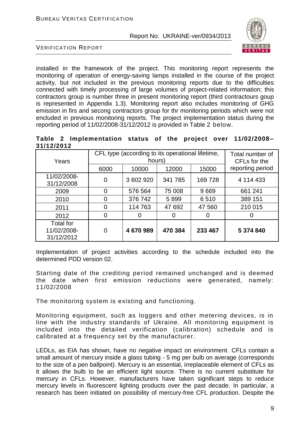

VERIFICATION REPORT

installed in the framework of the project. This monitoring report represents the monitoring of operation of energy-saving lamps installed in the course of the project activity, but not included in the previous monitoring reports due to the difficulties connected with timely processing of large volumes of project-related information; this contractors group is number three in present monitoring report (third contractours goup is represented in Appendix 1.3). Monitoring report also includes monitoring of GHG emission in firs and secong contractors group for thr monitoring periods which were not encluded in previous monitoring reports. The project implementation status during the reporting period of 11/02/2008-31/12/2012 is provided in Table 2 below.

**Table 2 Implementation status of the project over 11/02/2008 – 31/12/2012**

| Years                                         | CFL type (according to its operational lifetime,<br>hours) |           |         |         | Total number of<br>CFL <sub>s</sub> for the |
|-----------------------------------------------|------------------------------------------------------------|-----------|---------|---------|---------------------------------------------|
|                                               | 6000                                                       | 10000     | 12000   | 15000   | reporting period                            |
| 11/02/2008-<br>31/12/2008                     | 0                                                          | 3 602 920 | 341 785 | 169728  | 4 114 433                                   |
| 2009                                          | 0                                                          | 576 564   | 75 008  | 9669    | 661 241                                     |
| 2010                                          |                                                            | 376742    | 5899    | 6510    | 389 151                                     |
| 2011                                          | 0                                                          | 114763    | 47 692  | 47 560  | 210 015                                     |
| 2012                                          | 0                                                          | O         | 0       |         | 0                                           |
| <b>Total for</b><br>11/02/2008-<br>31/12/2012 | 0                                                          | 4670989   | 470 384 | 233 467 | 5 374 840                                   |

Implementation of project activities according to the schedule included into the determined PDD version 02.

Starting date of the crediting period remained unchanged and is deemed the date when first emission reductions were generated, namely: 11/02/2008

The monitoring system is existing and functioning.

Monitoring equipment, such as loggers and other metering devices, is in line with the industry standards of Ukraine. All monitoring equipment is included into the detailed verification (calibration) schedule and is calibrated at a frequency set by the manufacturer.

LEDLs, as EIA has shown, have no negative impact on environment. CFLs contain a small amount of mercury inside a glass tubing - 5 mg per bulb on average (corresponds to the size of a pen ballpoint). Mercury is an essential, irreplaceable element of CFLs as it allows the bulb to be an efficient light source. There is no current substitute for mercury in CFLs. However, manufacturers have taken significant steps to reduce mercury levels in fluorescent lighting products over the past decade. In particular, a research has been initiated on possibility of mercury-free CFL production. Despite the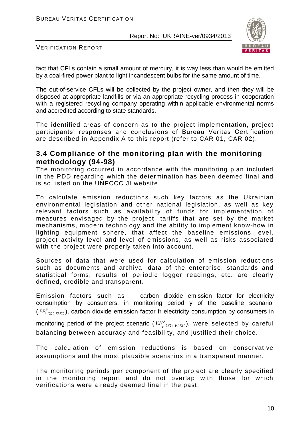

VERIFICATION REPORT

fact that CFLs contain a small amount of mercury, it is way less than would be emitted by a coal-fired power plant to light incandescent bulbs for the same amount of time.

The out-of-service CFLs will be collected by the project owner, and then they will be disposed at appropriate landfills or via an appropriate recycling process in cooperation with a registered recycling company operating within applicable environmental norms and accredited according to state standards.

The identified areas of concern as to the project implementation, project participants' responses and conclusions of Bureau Veritas Certification are described in Appendix A to this report (refer to CAR 01, CAR 02).

#### **3.4 Compliance of the monitoring plan with the monitoring methodology (94-98)**

The monitoring occurred in accordance with the monitoring plan included in the PDD regarding which the determination has been deemed final and is so listed on the UNFCCC JI website.

To calculate emission reductions such key factors as the Ukrainian environmental legislation and other national legislation, as well as key relevant factors such as availability of funds for implementation of measures envisaged by the project, tariffs that are set by the market mechanisms, modern technology and the ability to implement know-how in lighting equipment sphere, that affect the baseline emissions level, project activity level and level of emissions, as well as risks associated with the project were properly taken into account.

Sources of data that were used for calculation of emission reductions such as documents and archival data of the enterprise, standards and statistical forms, results of periodic logger readings, etc. are clearly defined, credible and transparent.

Emission factors such as carbon dioxide emission factor for electricity consumption by consumers, in monitoring period y of the baseline scenario, ( $EF_{b,CO2,}^y$  $\it{EF}_{b,CO2,ELEC}^y$ ), carbon dioxide emission factor fr electricity consumption by consumers in

monitoring period of the project scenario ( $E_{p,CO2}^{F}$  $\it{EF}_{p,CO2,ELEC}^{y}$ ), were selected by careful balancing between accuracy and feasibility, and justified their choice.

The calculation of emission reductions is based on conservative assumptions and the most plausible scenarios in a transparent manner.

The monitoring periods per component of the project are clearly specified in the monitoring report and do not overlap with those for which verifications were already deemed final in the past.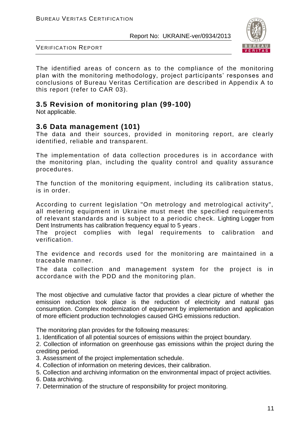

VERIFICATION REPORT

The identified areas of concern as to the compliance of the monitoring plan with the monitoring methodology, project participants' responses and conclusions of Bureau Veritas Certification are described in Appendix A to this report (refer to CAR 03).

# **3.5 Revision of monitoring plan (99-100)**

Not applicable.

#### **3.6 Data management (101)**

The data and their sources, provided in monitoring report, are clearly identified, reliable and transparent.

The implementation of data collection procedures is in accordance with the monitoring plan, including the quality control and quality assurance procedures.

The function of the monitoring equipment, including its calibration status, is in order.

According to current legislation "On metrology and metrological activity", all metering equipment in Ukraine must meet the specified requirements of relevant standards and is subject to a periodic check. Lighting Logger from Dent Instruments has calibration frequency equal to 5 years .

The project complies with legal requirements to calibration and verification.

The evidence and records used for the monitoring are maintained in a traceable manner.

The data collection and management system for the project is in accordance with the PDD and the monitoring plan.

The most objective and cumulative factor that provides a clear picture of whether the emission reduction took place is the reduction of electricity and natural gas consumption. Complex modernization of equipment by implementation and application of more efficient production technologies caused GHG emissions reduction.

The monitoring plan provides for the following measures:

1. Identification of all potential sources of emissions within the project boundary.

2. Collection of information on greenhouse gas emissions within the project during the crediting period.

- 3. Assessment of the project implementation schedule.
- 4. Collection of information on metering devices, their calibration.
- 5. Collection and archiving information on the environmental impact of project activities.
- 6. Data archiving.
- 7. Determination of the structure of responsibility for project monitoring.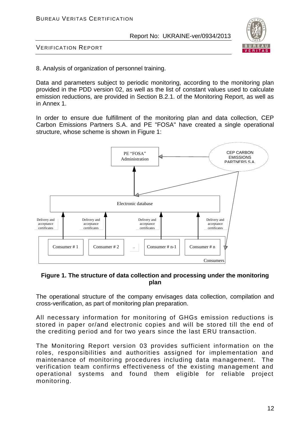

VERIFICATION REPORT

8. Analysis of organization of personnel training.

Data and parameters subject to periodic monitoring, according to the monitoring plan provided in the PDD version 02, as well as the list of constant values used to calculate emission reductions, are provided in Section B.2.1. of the Monitoring Report, as well as in Annex 1.

In order to ensure due fulfillment of the monitoring plan and data collection, CEP Carbon Emissions Partners S.A. and PE "FOSA" have created a single operational structure, whose scheme is shown in Figure 1:



#### **Figure 1. The structure of data collection and processing under the monitoring plan**

The operational structure of the company envisages data collection, compilation and cross-verification, as part of monitoring plan preparation.

All necessary information for monitoring of GHGs emission reductions is stored in paper or/and electronic copies and will be stored till the end of the crediting period and for two years since the last ERU transaction.

The Monitoring Report version 03 provides sufficient information on the roles, responsibilities and authorities assigned for implementation and maintenance of monitoring procedures including data management. The verification team confirms effectiveness of the existing management and operational systems and found them eligible for reliable project monitoring.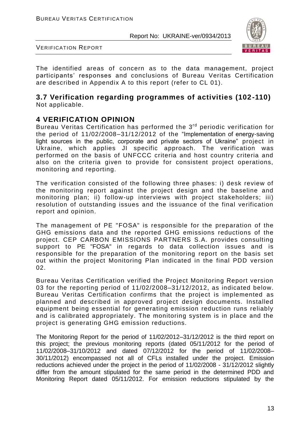

VERIFICATION REPORT

The identified areas of concern as to the data management, project participants' responses and conclusions of Bureau Veritas Certification are described in Appendix A to this report (refer to CL 01).

#### **3.7 Verification regarding programmes of activities (102-110)** Not applicable.

# **4 VERIFICATION OPINION**

Bureau Veritas Certification has performed the 3<sup>rd</sup> periodic verification for the period of 11/02/2008–31/12/2012 of the "Implementation of energy-saving light sources in the public, corporate аnd private sectors of Ukraine" project in Ukraine, which applies JI specific approach. The verification was performed on the basis of UNFCCC criteria and host country criteria and also on the criteria given to provide for consistent project operations, monitoring and reporting.

The verification consisted of the following three phases: i) desk review of the monitoring report against the project design and the baseline and monitoring plan; ii) follow-up interviews with project stakeholders; iii) resolution of outstanding issues and the issuance of the final verification report and opinion.

The management of PE "FOSA" is responsible for the preparation of the GHG emissions data and the reported GHG emissions reductions of the project. CEP CARBON EMISSIONS PARTNERS S.A. provides consulting support to PE "FOSA" in regards to data collection issues and is responsible for the preparation of the monitoring report on the basis set out within the project Monitoring Plan indicated in the final PDD version 02.

Bureau Veritas Certification verified the Project Monitoring Report version 03 for the reporting period of 11/02/2008–31/12/2012, as indicated below. Bureau Veritas Certification confirms that the project is implemented as planned and described in approved project design documents. Installed equipment being essential for generating emission reduction runs reliably and is calibrated appropriately. The monitoring system is in place and the project is generating GHG emission reductions.

The Monitoring Report for the period of 11/02/2012–31/12/2012 is the third report on this project; the previous monitoring reports (dated 05/11/2012 for the period of 11/02/2008–31/10/2012 and dated 07/12/2012 for the period of 11/02/2008– 30/11/2012) encompassed not all of CFLs installed under the project. Emission reductions achieved under the project in the period of 11/02/2008 - 31/12/2012 slightly differ from the amount stipulated for the same period in the determined PDD and Monitoring Report dated 05/11/2012. For emission reductions stipulated by the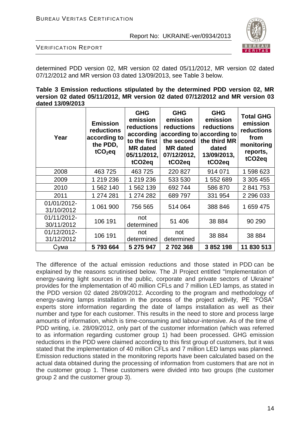

VERIFICATION REPORT

determined PDD version 02, MR version 02 dated 05/11/2012, MR version 02 dated 07/12/2012 and MR version 03 dated 13/09/2013, see Table 3 below.

**Table 3 Emission reductions stipulated by the determined PDD version 02, MR version 02 dated 05/11/2012, MR version 02 dated 07/12/2012 and MR version 03 dated 13/09/2013**

| Year                      | <b>Emission</b><br>reductions<br>according to<br>the PDD,<br>$tCO2$ eq | <b>GHG</b><br>emission<br>reductions<br>according<br>to the first<br><b>MR</b> dated<br>05/11/2012,<br>tCO <sub>2</sub> eq | <b>GHG</b><br>emission<br>reductions<br>the second<br><b>MR</b> dated<br>07/12/2012,<br>tCO <sub>2</sub> eq | <b>GHG</b><br>emission<br>reductions<br>according to according to<br>the third MR<br>dated<br>13/09/2013,<br>tCO <sub>2</sub> eq | <b>Total GHG</b><br>emission<br>reductions<br>from<br>monitoring<br>reports,<br>tCO <sub>2</sub> eq |
|---------------------------|------------------------------------------------------------------------|----------------------------------------------------------------------------------------------------------------------------|-------------------------------------------------------------------------------------------------------------|----------------------------------------------------------------------------------------------------------------------------------|-----------------------------------------------------------------------------------------------------|
| 2008                      | 463725                                                                 | 463725                                                                                                                     | 220 827                                                                                                     | 914 071                                                                                                                          | 1 598 623                                                                                           |
| 2009                      | 1 219 236                                                              | 1 219 236                                                                                                                  | 533 530                                                                                                     | 1 552 689                                                                                                                        | 3 305 455                                                                                           |
| 2010                      | 1 562 140                                                              | 1 562 139                                                                                                                  | 692 744                                                                                                     | 586 870                                                                                                                          | 2 841 753                                                                                           |
| 2011                      | 1 274 281                                                              | 1 274 282                                                                                                                  | 689797                                                                                                      | 331 954                                                                                                                          | 2 296 033                                                                                           |
| 01/01/2012-<br>31/10/2012 | 1 061 900                                                              | 756 565                                                                                                                    | 514 064                                                                                                     | 388 846                                                                                                                          | 1 659 475                                                                                           |
| 01/11/2012-<br>30/11/2012 | 106 191                                                                | not<br>determined                                                                                                          | 51 406                                                                                                      | 38 8 84                                                                                                                          | 90 290                                                                                              |
| 01/12/2012-<br>31/12/2012 | 106 191                                                                | not<br>determined                                                                                                          | not<br>determined                                                                                           | 38 8 84                                                                                                                          | 38 884                                                                                              |
| Сума                      | 5793664                                                                | 5 275 947                                                                                                                  | 2702368                                                                                                     | 3 852 198                                                                                                                        | 11 830 513                                                                                          |

The difference of the actual emission reductions and those stated in PDD can be explained by the reasons scrutinised below. The JI Project entitled "Implementation of energy-saving light sources in the public, corporate and private sectors of Ukraine" provides for the implementation of 40 million CFLs and 7 million LED lamps, as stated in the PDD version 02 dated 28/09/2012. According to the program and methodology of energy-saving lamps installation in the process of the project activity, PE "FOSA" experts store information regarding the date of lamps installation as well as their number and type for each customer. This results in the need to store and process large amounts of information, which is time-consuming and labour-intensive. As of the time of PDD writing, i.e. 28/09/2012, only part of the customer information (which was referred to as information regarding customer group 1) had been processed. GHG emission reductions in the PDD were claimed according to this first group of customers, but it was stated that the implementation of 40 million CFLs and 7 million LED lamps was planned. Emission reductions stated in the monitoring reports have been calculated based on the actual data obtained during the processing of information from customers that are not in the customer group 1. These customers were divided into two groups (the customer group 2 and the customer group 3).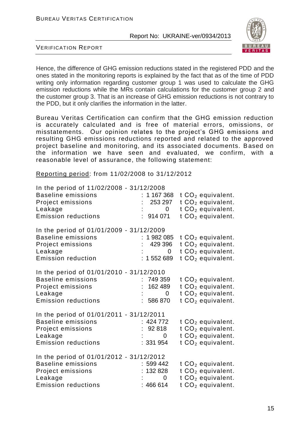

VERIFICATION REPORT

Hence, the difference of GHG emission reductions stated in the registered PDD and the ones stated in the monitoring reports is explained by the fact that as of the time of PDD writing only information regarding customer group 1 was used to calculate the GHG emission reductions while the MRs contain calculations for the customer group 2 and the customer group 3. That is an increase of GHG emission reductions is not contrary to the PDD, but it only clarifies the information in the latter.

Bureau Veritas Certification can confirm that the GHG emission reduction is accurately calculated and is free of material errors, omissions, or misstatements. Our opinion relates to the project's GHG emissions and resulting GHG emissions reductions reported and related to the approved project baseline and monitoring, and its associated documents. Based on the information we have seen and evaluated, we confirm, with a reasonable level of assurance, the following statement:

Reporting period: from 11/02/2008 to 31/12/2012

| In the period of 11/02/2008 - 31/12/2008 |                |                               |
|------------------------------------------|----------------|-------------------------------|
| <b>Baseline emissions</b>                | : 1167368      | t $CO2$ equivalent.           |
| Project emissions                        | 253 297        | t CO <sub>2</sub> equivalent. |
| Leakage                                  | $\overline{0}$ | $tCO2$ equivalent.            |
| <b>Emission reductions</b>               | : 914 071      | t CO <sub>2</sub> equivalent. |
|                                          |                |                               |
| In the period of 01/01/2009 - 31/12/2009 |                |                               |
| <b>Baseline emissions</b>                | 1982085        | t $CO2$ equivalent.           |
| Project emissions                        | 429 396        | $tCO2$ equivalent.            |
| Leakage                                  | 0              | $tCO2$ equivalent.            |
| <b>Emission reduction</b>                | 1 552 689      | $tCO2$ equivalent.            |
| In the period of 01/01/2010 - 31/12/2010 |                |                               |
| <b>Baseline emissions</b>                | 749 359        | t $CO2$ equivalent.           |
| Project emissions                        | 162 489        | $tCO2$ equivalent.            |
| Leakage                                  | 0              | $tCO2$ equivalent.            |
| <b>Emission reductions</b>               | : 586 870      | t $CO2$ equivalent.           |
|                                          |                |                               |
| In the period of 01/01/2011 - 31/12/2011 |                |                               |
| <b>Baseline emissions</b>                | 424 772        | $tCO2$ equivalent.            |
| Project emissions                        | : 92818        | t $CO2$ equivalent.           |
| Leakage                                  | 0              | $tCO2$ equivalent.            |
| <b>Emission reductions</b>               | : 331 954      | t $CO2$ equivalent.           |
|                                          |                |                               |
| In the period of 01/01/2012 - 31/12/2012 |                |                               |
| <b>Baseline emissions</b>                | : 599442       | $tCO2$ equivalent.            |
| Project emissions                        | : 132828       | $tCO2$ equivalent.            |
| Leakage                                  | 0              | $tCO2$ equivalent.            |
| <b>Emission reductions</b>               | : 466 614      | t CO $_2$ equivalent.         |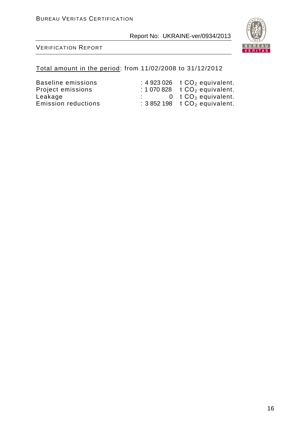

#### VERIFICATION REPORT

#### Total amount in the period: from 11/02/2008 to 31/12/2012

Project emissions<br>Leakage

Baseline emissions :  $4923026$  t CO<sub>2</sub> equivalent.<br>Project emissions :  $1070828$  t CO<sub>2</sub> equivalent. Leakage  $\begin{array}{ccc} \text{Leakage} & \text{...} & 0 & \text{t CO}_2 \text{ equivalent.} \\ \text{Emission reductions} & \text{...} & 3852198 & \text{t CO}_2 \text{ equivalent.} \end{array}$  $\therefore$  3 852 198 t CO<sub>2</sub> equivalent.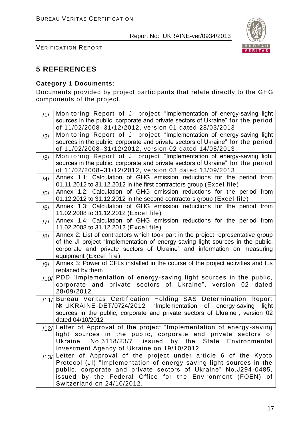

VERIFICATION REPORT

# **5 REFERENCES**

#### **Category 1 Documents:**

Documents provided by project participants that relate directly to the GHG components of the project.

| /1/            | Monitoring Report of JI project "Implementation of energy-saving light                                                                                    |
|----------------|-----------------------------------------------------------------------------------------------------------------------------------------------------------|
|                | sources in the public, corporate and private sectors of Ukraine" for the period<br>of 11/02/2008-31/12/2012, version 01 dated 28/03/2013                  |
| /2/            | Monitoring Report of JI project "Implementation of energy-saving light                                                                                    |
|                | sources in the public, corporate and private sectors of Ukraine" for the period<br>of 11/02/2008-31/12/2012, version 02 dated 14/08/2013                  |
| /3/            | Monitoring Report of JI project "Implementation of energy-saving light                                                                                    |
|                | sources in the public, corporate and private sectors of Ukraine" for the period<br>of 11/02/2008-31/12/2012, version 03 dated 13/09/2013                  |
| $\frac{14}{1}$ | Annex 1.1: Calculation of GHG emission reductions for the period from                                                                                     |
|                | 01.11.2012 to 31.12.2012 in the first contractors group (Excel file)                                                                                      |
| /5/            | Annex 1.2: Calculation of GHG emission reductions for the period from<br>01.12.2012 to 31.12.2012 in the second contractors group (Excel file)            |
| /6/            | Annex 1.3: Calculation of GHG emission reductions for the period from<br>11.02.2008 to 31.12.2012 (Excel file)                                            |
| 7              | Annex 1.4: Calculation of GHG emission reductions for the period from<br>11.02.2008 to 31.12.2012 (Excel file)                                            |
| /8/            | Annex 2: List of contractors which took part in the project representative group                                                                          |
|                | of the JI project "Implementation of energy-saving light sources in the public,<br>corporate and private sectors of Ukraine" and information on measuring |
|                | equipment (Excel file)                                                                                                                                    |
| /9/            | Annex 3: Power of CFLs installed in the course of the project activities and ILs<br>replaced by them                                                      |
|                | /10/ PDD "Implementation of energy-saving light sources in the public,<br>corporate and private sectors of Ukraine", version 02 dated                     |
|                | 28/09/2012                                                                                                                                                |
|                | /11/ Bureau Veritas Certification Holding SAS Determination Report<br>Nº UKRAINE-DET/0724/2012 "Implementation of energy-saving                           |
|                | light<br>sources in the public, corporate and private sectors of Ukraine", version 02                                                                     |
|                | dated 04/10/2012                                                                                                                                          |
|                | /12/ Letter of Approval of the project "Implementation of energy-saving                                                                                   |
|                | light sources in the public, corporate and private sectors of<br>Ukraine" No.3118/23/7, issued by the State Environmental                                 |
|                | Investment Agency of Ukraine on 19/10/2012.                                                                                                               |
|                | $13/$ Letter of Approval of the project under article 6 of the Kyoto                                                                                      |
|                | Protocol (JI) "Implementation of energy-saving light sources in the                                                                                       |
|                | public, corporate and private sectors of Ukraine" No.J294-0485,<br>issued by the Federal Office for the Environment (FOEN) of                             |
|                | Switzerland on 24/10/2012.                                                                                                                                |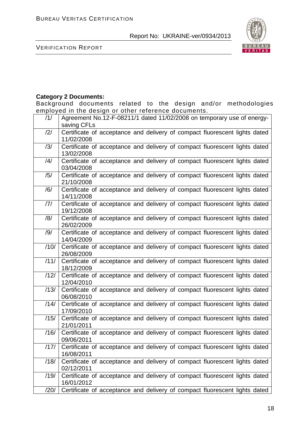

VERIFICATION REPORT

# **Category 2 Documents:**

Background documents related to the design and/or methodologies employed in the design or other reference documents.

| /1/  | Agreement No.12-F-08211/1 dated 11/02/2008 on temporary use of energy-                   |
|------|------------------------------------------------------------------------------------------|
|      | saving CFLs                                                                              |
| /2/  | Certificate of acceptance and delivery of compact fluorescent lights dated<br>11/02/2008 |
| /3/  | Certificate of acceptance and delivery of compact fluorescent lights dated<br>13/02/2008 |
| /4/  | Certificate of acceptance and delivery of compact fluorescent lights dated<br>03/04/2008 |
| /5/  | Certificate of acceptance and delivery of compact fluorescent lights dated<br>21/10/2008 |
| /6/  | Certificate of acceptance and delivery of compact fluorescent lights dated<br>14/11/2008 |
| 7    | Certificate of acceptance and delivery of compact fluorescent lights dated<br>19/12/2008 |
| /8/  | Certificate of acceptance and delivery of compact fluorescent lights dated<br>26/02/2009 |
| /9/  | Certificate of acceptance and delivery of compact fluorescent lights dated<br>14/04/2009 |
| /10/ | Certificate of acceptance and delivery of compact fluorescent lights dated<br>26/08/2009 |
| /11/ | Certificate of acceptance and delivery of compact fluorescent lights dated<br>18/12/2009 |
| /12/ | Certificate of acceptance and delivery of compact fluorescent lights dated<br>12/04/2010 |
| /13/ | Certificate of acceptance and delivery of compact fluorescent lights dated<br>06/08/2010 |
| /14/ | Certificate of acceptance and delivery of compact fluorescent lights dated<br>17/09/2010 |
| /15/ | Certificate of acceptance and delivery of compact fluorescent lights dated<br>21/01/2011 |
| /16/ | Certificate of acceptance and delivery of compact fluorescent lights dated<br>09/06/2011 |
| /17/ | Certificate of acceptance and delivery of compact fluorescent lights dated<br>16/08/2011 |
| /18/ | Certificate of acceptance and delivery of compact fluorescent lights dated<br>02/12/2011 |
| /19/ | Certificate of acceptance and delivery of compact fluorescent lights dated<br>16/01/2012 |
| /20/ | Certificate of acceptance and delivery of compact fluorescent lights dated               |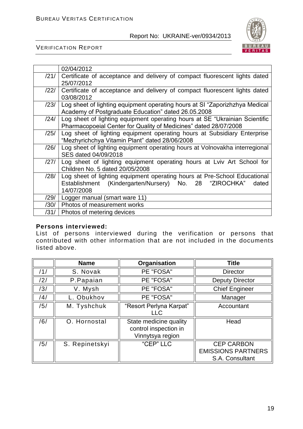

VERIFICATION REPORT

|      | 02/04/2012                                                                                                                                                 |
|------|------------------------------------------------------------------------------------------------------------------------------------------------------------|
| /21/ | Certificate of acceptance and delivery of compact fluorescent lights dated<br>25/07/2012                                                                   |
| /22/ | Certificate of acceptance and delivery of compact fluorescent lights dated<br>03/08/2012                                                                   |
| /23/ | Log sheet of lighting equipment operating hours at SI "Zaporizhzhya Medical<br>Academy of Postgraduate Education" dated 26.05.2008                         |
| /24/ | Log sheet of lighting equipment operating hours at SE "Ukrainian Scientific<br>Pharmacopoeial Center for Quality of Medicines" dated 28/07/2008            |
| /25/ | Log sheet of lighting equipment operating hours at Subsidiary Enterprise<br>"Mezhyrichchya Vitamin Plant" dated 28/06/2008                                 |
| /26/ | Log sheet of lighting equipment operating hours at Volnovakha interregional<br>SES dated 04/09/2018                                                        |
| /27/ | Log sheet of lighting equipment operating hours at Lviv Art School for<br>Children No. 5 dated 20/05/2008                                                  |
| /28/ | Log sheet of lighting equipment operating hours at Pre-School Educational<br>Establishment (Kindergarten/Nursery) No. 28 "ZIROCHKA"<br>dated<br>14/07/2008 |
| /29/ | Logger manual (smart ware 11)                                                                                                                              |
| /30/ | Photos of measurement works                                                                                                                                |
| /31/ | Photos of metering devices                                                                                                                                 |

#### **Persons interviewed:**

List of persons interviewed during the verification or persons that contributed with other information that are not included in the documents listed above.

|     | <b>Name</b>    | Organisation                                                        | <b>Title</b>                                                      |
|-----|----------------|---------------------------------------------------------------------|-------------------------------------------------------------------|
| /1/ | S. Novak       | PE "FOSA"                                                           | <b>Director</b>                                                   |
| /2/ | P.Papaian      | PE "FOSA"                                                           | <b>Deputy Director</b>                                            |
| /3/ | V. Mysh        | PE "FOSA"                                                           | <b>Chief Engineer</b>                                             |
| /4/ | L. Obukhov     | PE "FOSA"                                                           | Manager                                                           |
| /5/ | M. Tyshchuk    | "Resort Perlyna Karpat"<br><b>LLC</b>                               | Accountant                                                        |
| /6/ | O. Hornostal   | State medicine quality<br>control inspection in<br>Vinnytsya region | Head                                                              |
| /5/ | S. Repinetskyi | "CEP" LLC                                                           | <b>CEP CARBON</b><br><b>EMISSIONS PARTNERS</b><br>S.A. Consultant |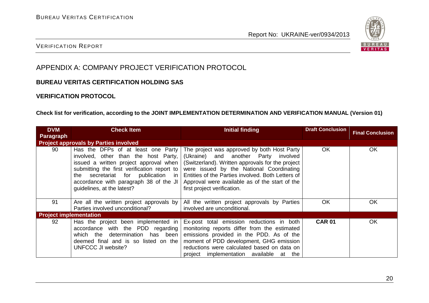

#### VERIFICATION REPORT

# APPENDIX A: COMPANY PROJECT VERIFICATION PROTOCOL

#### **BUREAU VERITAS CERTIFICATION HOLDING SAS**

#### **VERIFICATION PROTOCOL**

#### **Check list for verification, according to the JOINT IMPLEMENTATION DETERMINATION AND VERIFICATION MANUAL (Version 01)**

| <b>DVM</b>                    | <b>Check Item</b>                                                                                                                                                                                                                                                                 | Initial finding                                                                                                                                                                                                                                                                                                           | <b>Draft Conclusion</b> | <b>Final Conclusion</b> |  |
|-------------------------------|-----------------------------------------------------------------------------------------------------------------------------------------------------------------------------------------------------------------------------------------------------------------------------------|---------------------------------------------------------------------------------------------------------------------------------------------------------------------------------------------------------------------------------------------------------------------------------------------------------------------------|-------------------------|-------------------------|--|
| <b>Paragraph</b>              |                                                                                                                                                                                                                                                                                   |                                                                                                                                                                                                                                                                                                                           |                         |                         |  |
|                               | <b>Project approvals by Parties involved</b>                                                                                                                                                                                                                                      |                                                                                                                                                                                                                                                                                                                           |                         |                         |  |
| 90                            | Has the DFPs of at least one Party<br>involved, other than the host Party,<br>issued a written project approval when<br>submitting the first verification report to<br>the secretariat for publication in<br>accordance with paragraph 38 of the JI<br>guidelines, at the latest? | The project was approved by both Host Party<br>(Ukraine) and another Party involved<br>(Switzerland). Written approvals for the project<br>were issued by the National Coordinating<br>Entities of the Parties involved. Both Letters of<br>Approval were available as of the start of the<br>first project verification. | <b>OK</b>               | <b>OK</b>               |  |
| 91                            | Are all the written project approvals by<br>Parties involved unconditional?                                                                                                                                                                                                       | All the written project approvals by Parties<br>involved are unconditional.                                                                                                                                                                                                                                               | OK                      | OK                      |  |
| <b>Project implementation</b> |                                                                                                                                                                                                                                                                                   |                                                                                                                                                                                                                                                                                                                           |                         |                         |  |
| 92                            | Has the project been implemented in<br>accordance with the PDD regarding<br>which the determination has been<br>deemed final and is so listed on the<br>UNFCCC JI website?                                                                                                        | Ex-post total emission reductions in both<br>monitoring reports differ from the estimated<br>emissions provided in the PDD. As of the<br>moment of PDD development, GHG emission<br>reductions were calculated based on data on<br>project implementation available at the                                                | <b>CAR 01</b>           | OK                      |  |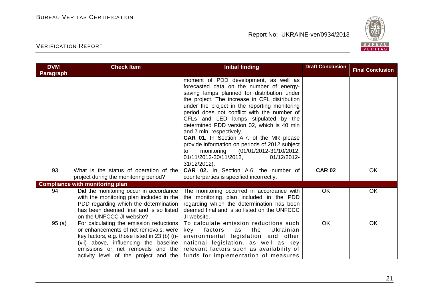

| <b>DVM</b>       | <b>Check Item</b>                                                                                                                                                                                                 | <b>Initial finding</b>                                                                                                                                                                                                                                                                                                                                                                                                                                                                                                                                                                                           | <b>Draft Conclusion</b> | <b>Final Conclusion</b> |
|------------------|-------------------------------------------------------------------------------------------------------------------------------------------------------------------------------------------------------------------|------------------------------------------------------------------------------------------------------------------------------------------------------------------------------------------------------------------------------------------------------------------------------------------------------------------------------------------------------------------------------------------------------------------------------------------------------------------------------------------------------------------------------------------------------------------------------------------------------------------|-------------------------|-------------------------|
| <b>Paragraph</b> |                                                                                                                                                                                                                   |                                                                                                                                                                                                                                                                                                                                                                                                                                                                                                                                                                                                                  |                         |                         |
|                  |                                                                                                                                                                                                                   | moment of PDD development, as well as<br>forecasted data on the number of energy-<br>saving lamps planned for distribution under<br>the project. The increase in CFL distribution<br>under the project in the reporting monitoring<br>period does not conflict with the number of<br>CFLs and LED lamps stipulated by the<br>determined PDD version 02, which is 40 mln<br>and 7 mln, respectively.<br><b>CAR 01.</b> In Section A.7. of the MR please<br>provide information on periods of 2012 subject<br>monitoring<br>(01/01/2012-31/10/2012,<br>to<br>01/11/2012-30/11/2012,<br>01/12/2012-<br>31/12/2012). |                         |                         |
| 93               | What is the status of operation of the<br>project during the monitoring period?                                                                                                                                   | CAR 02. In Section A.6. the number of<br>counterparties is specified incorrectly.                                                                                                                                                                                                                                                                                                                                                                                                                                                                                                                                | <b>CAR 02</b>           | OK                      |
|                  | <b>Compliance with monitoring plan</b>                                                                                                                                                                            |                                                                                                                                                                                                                                                                                                                                                                                                                                                                                                                                                                                                                  |                         |                         |
| 94               | Did the monitoring occur in accordance<br>with the monitoring plan included in the<br>PDD regarding which the determination<br>has been deemed final and is so listed<br>on the UNFCCC JI website?                | The monitoring occurred in accordance with<br>the monitoring plan included in the PDD<br>regarding which the determination has been<br>deemed final and is so listed on the UNFCCC<br>JI website.                                                                                                                                                                                                                                                                                                                                                                                                                | <b>OK</b>               | OK                      |
| 95(a)            | For calculating the emission reductions  <br>or enhancements of net removals, were<br>key factors, e.g. those listed in 23 (b) (i)-<br>(vii) above, influencing the baseline<br>emissions or net removals and the | To calculate emission reductions such<br>the<br>key<br>factors<br>Ukrainian<br>as<br>environmental legislation and other<br>national legislation, as well as key<br>relevant factors such as availability of<br>activity level of the project and the funds for implementation of measures                                                                                                                                                                                                                                                                                                                       | OK                      | OK                      |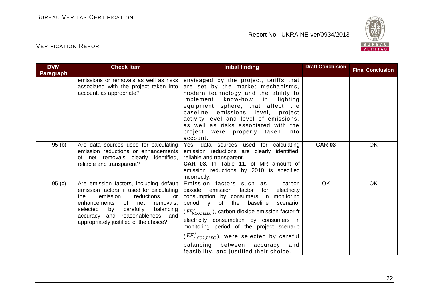

| <b>DVM</b><br>Paragraph | <b>Check Item</b>                                                                                                                                                                                                                                                                      | <b>Initial finding</b>                                                                                                                                                                                                                                                                                                                                                                                                                                                   | <b>Draft Conclusion</b> | <b>Final Conclusion</b> |
|-------------------------|----------------------------------------------------------------------------------------------------------------------------------------------------------------------------------------------------------------------------------------------------------------------------------------|--------------------------------------------------------------------------------------------------------------------------------------------------------------------------------------------------------------------------------------------------------------------------------------------------------------------------------------------------------------------------------------------------------------------------------------------------------------------------|-------------------------|-------------------------|
|                         | emissions or removals as well as risks<br>associated with the project taken into<br>account, as appropriate?                                                                                                                                                                           | envisaged by the project, tariffs that<br>are set by the market mechanisms,<br>modern technology and the ability to<br>implement know-how in lighting<br>equipment sphere, that affect the<br>baseline emissions level, project<br>activity level and level of emissions,<br>as well as risks associated with the<br>project were properly taken into<br>account.                                                                                                        |                         |                         |
| 95(b)                   | Are data sources used for calculating<br>emission reductions or enhancements<br>of net removals clearly identified,<br>reliable and transparent?                                                                                                                                       | Yes, data sources used for calculating<br>emission reductions are clearly identified,<br>reliable and transparent.<br>CAR 03. In Table 11. of MR amount of<br>emission reductions by 2010 is specified<br>incorrectly.                                                                                                                                                                                                                                                   | <b>CAR 03</b>           | OK                      |
| 95(c)                   | Are emission factors, including default<br>emission factors, if used for calculating<br>reductions<br>the<br>emission<br>or<br>enhancements of net<br>removals,<br>selected<br>by carefully<br>balancing<br>accuracy and reasonableness, and<br>appropriately justified of the choice? | Emission factors such as<br>carbon<br>dioxide<br>emission<br>factor<br>for<br>electricity<br>consumption by consumers, in monitoring<br>period y of the baseline<br>scenario,<br>$(EF_{b,CO2,ELEC}^{y})$ , carbon dioxide emission factor fr<br>electricity consumption by consumers in<br>monitoring period of the project scenario<br>$(EF_{p,CO2,ELEC}^{y})$ , were selected by careful<br>balancing between accuracy and<br>feasibility, and justified their choice. | OK                      | OK                      |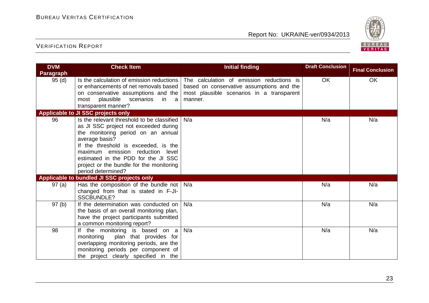

| <b>DVM</b>       | <b>Check Item</b>                                                                                                                                                                                                                                                                                                                | <b>Initial finding</b>                                                                                                                         | <b>Draft Conclusion</b> | <b>Final Conclusion</b> |
|------------------|----------------------------------------------------------------------------------------------------------------------------------------------------------------------------------------------------------------------------------------------------------------------------------------------------------------------------------|------------------------------------------------------------------------------------------------------------------------------------------------|-------------------------|-------------------------|
| <b>Paragraph</b> |                                                                                                                                                                                                                                                                                                                                  |                                                                                                                                                |                         |                         |
| 95(d)            | Is the calculation of emission reductions<br>or enhancements of net removals based<br>on conservative assumptions and the<br>plausible scenarios<br>most<br>in a<br>transparent manner?                                                                                                                                          | The calculation of emission reductions is<br>based on conservative assumptions and the<br>most plausible scenarios in a transparent<br>manner. | <b>OK</b>               | OK                      |
|                  | <b>Applicable to JI SSC projects only</b>                                                                                                                                                                                                                                                                                        |                                                                                                                                                |                         |                         |
| 96               | Is the relevant threshold to be classified<br>as JI SSC project not exceeded during<br>the monitoring period on an annual<br>average basis?<br>If the threshold is exceeded, is the<br>maximum emission reduction level<br>estimated in the PDD for the JI SSC<br>project or the bundle for the monitoring<br>period determined? | N/a                                                                                                                                            | N/a                     | N/a                     |
|                  | Applicable to bundled JI SSC projects only                                                                                                                                                                                                                                                                                       |                                                                                                                                                |                         |                         |
| 97(a)            | Has the composition of the bundle not<br>changed from that is stated in F-JI-<br><b>SSCBUNDLE?</b>                                                                                                                                                                                                                               | N/a                                                                                                                                            | N/a                     | N/a                     |
| 97(b)            | If the determination was conducted on<br>the basis of an overall monitoring plan,<br>have the project participants submitted<br>a common monitoring report?                                                                                                                                                                      | N/a                                                                                                                                            | N/a                     | N/a                     |
| 98               | If the monitoring is based on a<br>monitoring<br>plan that provides for<br>overlapping monitoring periods, are the<br>monitoring periods per component of<br>the project clearly specified in the                                                                                                                                | N/a                                                                                                                                            | N/a                     | N/a                     |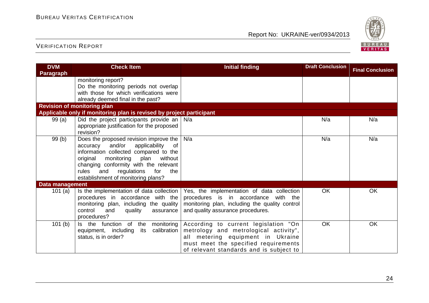

| <b>DVM</b>             | <b>Check Item</b>                                                                                                                                                                                                                                                                                     | <b>Initial finding</b>                                                                                                                                                                                | <b>Draft Conclusion</b> | <b>Final Conclusion</b> |
|------------------------|-------------------------------------------------------------------------------------------------------------------------------------------------------------------------------------------------------------------------------------------------------------------------------------------------------|-------------------------------------------------------------------------------------------------------------------------------------------------------------------------------------------------------|-------------------------|-------------------------|
| <b>Paragraph</b>       |                                                                                                                                                                                                                                                                                                       |                                                                                                                                                                                                       |                         |                         |
|                        | monitoring report?<br>Do the monitoring periods not overlap<br>with those for which verifications were<br>already deemed final in the past?                                                                                                                                                           |                                                                                                                                                                                                       |                         |                         |
|                        | <b>Revision of monitoring plan</b>                                                                                                                                                                                                                                                                    |                                                                                                                                                                                                       |                         |                         |
|                        | Applicable only if monitoring plan is revised by project participant                                                                                                                                                                                                                                  |                                                                                                                                                                                                       |                         |                         |
| 99(a)                  | Did the project participants provide an<br>appropriate justification for the proposed<br>revision?                                                                                                                                                                                                    | N/a                                                                                                                                                                                                   | N/a                     | N/a                     |
| 99(b)                  | Does the proposed revision improve the<br>and/or<br>applicability<br>accuracy<br>0f<br>information collected compared to the<br>original<br>monitoring<br>plan<br>without<br>changing conformity with the relevant<br>rules<br>and<br>regulations<br>for<br>the<br>establishment of monitoring plans? | N/a                                                                                                                                                                                                   | N/a                     | N/a                     |
| <b>Data management</b> |                                                                                                                                                                                                                                                                                                       |                                                                                                                                                                                                       |                         |                         |
| 101(a)                 | Is the implementation of data collection<br>procedures in accordance with the<br>monitoring plan, including the quality<br>control<br>and<br>quality<br>assurance<br>procedures?                                                                                                                      | Yes, the implementation of data collection<br>procedures is in accordance<br>with the<br>monitoring plan, including the quality control<br>and quality assurance procedures.                          | OK                      | OK                      |
| 101(b)                 | Is the function<br>of the<br>monitoring<br>calibration<br>equipment, including<br>its<br>status, is in order?                                                                                                                                                                                         | According to current legislation "On<br>metrology and metrological activity",<br>all metering equipment in Ukraine<br>must meet the specified requirements<br>of relevant standards and is subject to | OK                      | OK                      |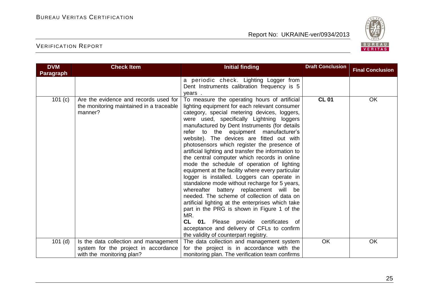

| <b>DVM</b>       | <b>Check Item</b>                                                                            | <b>Initial finding</b>                                                                                                                                                                                                                                                                                                                                                                                                                                                                                                                                                                                                                                                                                                                                                                                                                                                                                                                                                                                                        | <b>Draft Conclusion</b> | <b>Final Conclusion</b> |
|------------------|----------------------------------------------------------------------------------------------|-------------------------------------------------------------------------------------------------------------------------------------------------------------------------------------------------------------------------------------------------------------------------------------------------------------------------------------------------------------------------------------------------------------------------------------------------------------------------------------------------------------------------------------------------------------------------------------------------------------------------------------------------------------------------------------------------------------------------------------------------------------------------------------------------------------------------------------------------------------------------------------------------------------------------------------------------------------------------------------------------------------------------------|-------------------------|-------------------------|
| <b>Paragraph</b> |                                                                                              |                                                                                                                                                                                                                                                                                                                                                                                                                                                                                                                                                                                                                                                                                                                                                                                                                                                                                                                                                                                                                               |                         |                         |
|                  |                                                                                              | a periodic check. Lighting Logger from<br>Dent Instruments calibration frequency is 5<br>vears.                                                                                                                                                                                                                                                                                                                                                                                                                                                                                                                                                                                                                                                                                                                                                                                                                                                                                                                               |                         |                         |
| 101 (c)          | Are the evidence and records used for<br>the monitoring maintained in a traceable<br>manner? | To measure the operating hours of artificial<br>lighting equipment for each relevant consumer<br>category, special metering devices, loggers,<br>were used, specifically Lightning loggers<br>manufactured by Dent Instruments (for details<br>refer to the equipment manufacturer's<br>website). The devices are fitted out with<br>photosensors which register the presence of<br>artificial lighting and transfer the information to<br>the central computer which records in online<br>mode the schedule of operation of lighting<br>equipment at the facility where every particular<br>logger is installed. Loggers can operate in<br>standalone mode without recharge for 5 years,<br>whereafter battery replacement will be<br>needed. The scheme of collection of data on<br>artificial lighting at the enterprises which take<br>part in the PRG is shown in Figure 1 of the<br>MR.<br>CL 01. Please provide certificates of<br>acceptance and delivery of CFLs to confirm<br>the validity of counterpart registry. | <b>CL 01</b>            | OK                      |
| $101$ (d)        | Is the data collection and management                                                        | The data collection and management system                                                                                                                                                                                                                                                                                                                                                                                                                                                                                                                                                                                                                                                                                                                                                                                                                                                                                                                                                                                     | OK                      | <b>OK</b>               |
|                  | system for the project in accordance                                                         | for the project is in accordance with the                                                                                                                                                                                                                                                                                                                                                                                                                                                                                                                                                                                                                                                                                                                                                                                                                                                                                                                                                                                     |                         |                         |
|                  | with the monitoring plan?                                                                    | monitoring plan. The verification team confirms                                                                                                                                                                                                                                                                                                                                                                                                                                                                                                                                                                                                                                                                                                                                                                                                                                                                                                                                                                               |                         |                         |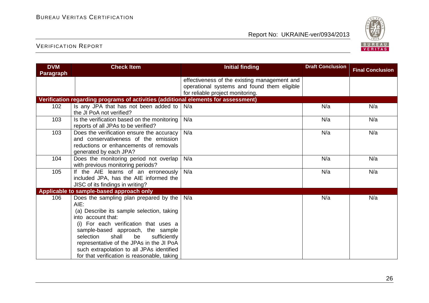

| <b>DVM</b>       | <b>Check Item</b>                                                                                                                                                                                                                                                                          | <b>Initial finding</b>                                                                                                          | <b>Draft Conclusion</b> | <b>Final Conclusion</b> |
|------------------|--------------------------------------------------------------------------------------------------------------------------------------------------------------------------------------------------------------------------------------------------------------------------------------------|---------------------------------------------------------------------------------------------------------------------------------|-------------------------|-------------------------|
| <b>Paragraph</b> |                                                                                                                                                                                                                                                                                            |                                                                                                                                 |                         |                         |
|                  |                                                                                                                                                                                                                                                                                            | effectiveness of the existing management and<br>operational systems and found them eligible<br>for reliable project monitoring. |                         |                         |
|                  | Verification regarding programs of activities (additional elements for assessment)                                                                                                                                                                                                         |                                                                                                                                 |                         |                         |
| 102              | Is any JPA that has not been added to<br>the JI PoA not verified?                                                                                                                                                                                                                          | N/a                                                                                                                             | N/a                     | N/a                     |
| 103              | Is the verification based on the monitoring<br>reports of all JPAs to be verified?                                                                                                                                                                                                         | N/a                                                                                                                             | N/a                     | N/a                     |
| 103              | Does the verification ensure the accuracy<br>and conservativeness of the emission<br>reductions or enhancements of removals<br>generated by each JPA?                                                                                                                                      | N/a                                                                                                                             | N/a                     | N/a                     |
| 104              | Does the monitoring period not overlap<br>with previous monitoring periods?                                                                                                                                                                                                                | N/a                                                                                                                             | N/a                     | N/a                     |
| 105              | If the AIE learns of an erroneously<br>included JPA, has the AIE informed the<br>JISC of its findings in writing?                                                                                                                                                                          | N/a                                                                                                                             | N/a                     | N/a                     |
|                  | Applicable to sample-based approach only                                                                                                                                                                                                                                                   |                                                                                                                                 |                         |                         |
| 106              | Does the sampling plan prepared by the<br>$AIE$ :<br>(a) Describe its sample selection, taking<br>into account that:<br>(i) For each verification that uses a<br>sample-based approach, the sample<br>shall<br>selection<br>be<br>sufficiently<br>representative of the JPAs in the JI PoA | N/a                                                                                                                             | N/a                     | N/a                     |
|                  | such extrapolation to all JPAs identified<br>for that verification is reasonable, taking                                                                                                                                                                                                   |                                                                                                                                 |                         |                         |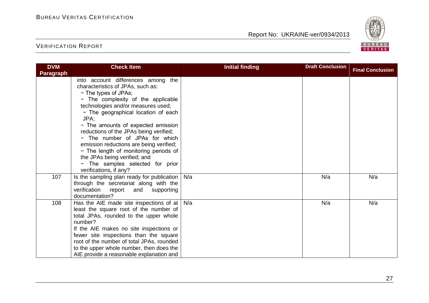

| <b>DVM</b>       | <b>Check Item</b>                                                                                                                                                                                                                                                                                                                                                                                                                                                                                    | <b>Initial finding</b> | <b>Draft Conclusion</b> | <b>Final Conclusion</b> |
|------------------|------------------------------------------------------------------------------------------------------------------------------------------------------------------------------------------------------------------------------------------------------------------------------------------------------------------------------------------------------------------------------------------------------------------------------------------------------------------------------------------------------|------------------------|-------------------------|-------------------------|
| <b>Paragraph</b> |                                                                                                                                                                                                                                                                                                                                                                                                                                                                                                      |                        |                         |                         |
|                  | into account differences among the<br>characteristics of JPAs, such as:<br>- The types of JPAs;<br>- The complexity of the applicable<br>technologies and/or measures used;<br>- The geographical location of each<br>JPA;<br>- The amounts of expected emission<br>reductions of the JPAs being verified;<br>- The number of JPAs for which<br>emission reductions are being verified;<br>- The length of monitoring periods of<br>the JPAs being verified; and<br>- The samples selected for prior |                        |                         |                         |
| 107              | verifications, if any?<br>Is the sampling plan ready for publication<br>through the secretariat along with the<br>verification report<br>and<br>supporting<br>documentation?                                                                                                                                                                                                                                                                                                                         | N/a                    | N/a                     | N/a                     |
| 108              | Has the AIE made site inspections of at<br>least the square root of the number of<br>total JPAs, rounded to the upper whole<br>number?<br>If the AIE makes no site inspections or<br>fewer site inspections than the square<br>root of the number of total JPAs, rounded<br>to the upper whole number, then does the<br>AIE provide a reasonable explanation and                                                                                                                                     | N/a                    | N/a                     | N/a                     |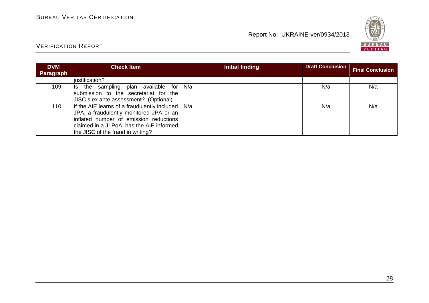

| <b>DVM</b> | <b>Check Item</b>                                                                                                                                                                                                     | Initial finding | <b>Draft Conclusion</b> | <b>Final Conclusion</b> |
|------------|-----------------------------------------------------------------------------------------------------------------------------------------------------------------------------------------------------------------------|-----------------|-------------------------|-------------------------|
| Paragraph  | justification?                                                                                                                                                                                                        |                 |                         |                         |
| 109        | plan available for<br>the sampling<br>Is.<br>submission to the secretariat for the<br>JISC.s ex ante assessment? (Optional)                                                                                           | N/a             | N/a                     | N/a                     |
| 110        | If the AIE learns of a fraudulently included  <br>JPA, a fraudulently monitored JPA or an<br>inflated number of emission reductions<br>claimed in a JI PoA, has the AIE informed<br>the JISC of the fraud in writing? | N/a             | N/a                     | N/a                     |